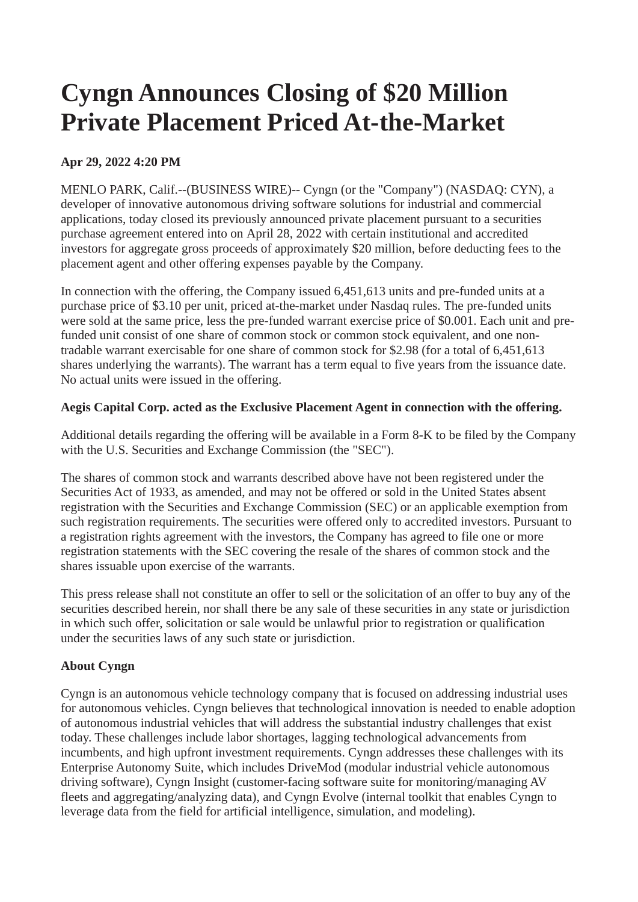# **Cyngn Announces Closing of \$20 Million Private Placement Priced At-the-Market**

### **Apr 29, 2022 4:20 PM**

MENLO PARK, Calif.--(BUSINESS WIRE)-- Cyngn (or the "Company") (NASDAQ: CYN), a developer of innovative autonomous driving software solutions for industrial and commercial applications, today closed its previously announced private placement pursuant to a securities purchase agreement entered into on April 28, 2022 with certain institutional and accredited investors for aggregate gross proceeds of approximately \$20 million, before deducting fees to the placement agent and other offering expenses payable by the Company.

In connection with the offering, the Company issued 6,451,613 units and pre-funded units at a purchase price of \$3.10 per unit, priced at-the-market under Nasdaq rules. The pre-funded units were sold at the same price, less the pre-funded warrant exercise price of \$0.001. Each unit and prefunded unit consist of one share of common stock or common stock equivalent, and one nontradable warrant exercisable for one share of common stock for \$2.98 (for a total of 6,451,613 shares underlying the warrants). The warrant has a term equal to five years from the issuance date. No actual units were issued in the offering.

#### **Aegis Capital Corp. acted as the Exclusive Placement Agent in connection with the offering.**

Additional details regarding the offering will be available in a Form 8-K to be filed by the Company with the U.S. Securities and Exchange Commission (the "SEC").

The shares of common stock and warrants described above have not been registered under the Securities Act of 1933, as amended, and may not be offered or sold in the United States absent registration with the Securities and Exchange Commission (SEC) or an applicable exemption from such registration requirements. The securities were offered only to accredited investors. Pursuant to a registration rights agreement with the investors, the Company has agreed to file one or more registration statements with the SEC covering the resale of the shares of common stock and the shares issuable upon exercise of the warrants.

This press release shall not constitute an offer to sell or the solicitation of an offer to buy any of the securities described herein, nor shall there be any sale of these securities in any state or jurisdiction in which such offer, solicitation or sale would be unlawful prior to registration or qualification under the securities laws of any such state or jurisdiction.

## **About Cyngn**

Cyngn is an autonomous vehicle technology company that is focused on addressing industrial uses for autonomous vehicles. Cyngn believes that technological innovation is needed to enable adoption of autonomous industrial vehicles that will address the substantial industry challenges that exist today. These challenges include labor shortages, lagging technological advancements from incumbents, and high upfront investment requirements. Cyngn addresses these challenges with its Enterprise Autonomy Suite, which includes DriveMod (modular industrial vehicle autonomous driving software), Cyngn Insight (customer-facing software suite for monitoring/managing AV fleets and aggregating/analyzing data), and Cyngn Evolve (internal toolkit that enables Cyngn to leverage data from the field for artificial intelligence, simulation, and modeling).